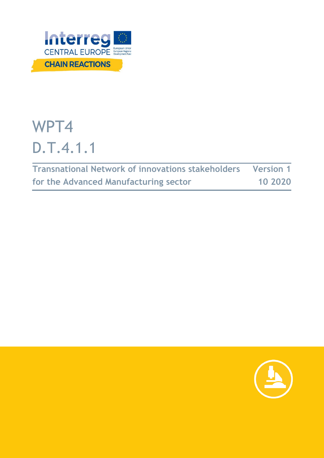

# WPT4 D.T.4.1.1

| Transnational Network of innovations stakeholders Version 1 |         |
|-------------------------------------------------------------|---------|
| for the Advanced Manufacturing sector                       | 10 2020 |

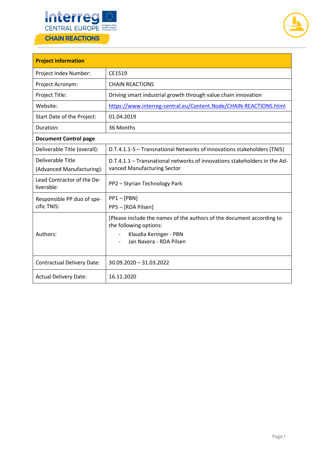



| <b>Project information</b>                     |                                                                                                                                                      |  |
|------------------------------------------------|------------------------------------------------------------------------------------------------------------------------------------------------------|--|
| Project Index Number:                          | CE1519                                                                                                                                               |  |
| Project Acronym:                               | <b>CHAIN REACTIONS</b>                                                                                                                               |  |
| Project Title:                                 | Driving smart industrial growth through value chain innovation                                                                                       |  |
| Website:                                       | https://www.interreg-central.eu/Content.Node/CHAIN-REACTIONS.html                                                                                    |  |
| Start Date of the Project:                     | 01.04.2019                                                                                                                                           |  |
| Duration:                                      | 36 Months                                                                                                                                            |  |
| <b>Document Control page</b>                   |                                                                                                                                                      |  |
| Deliverable Title (overall):                   | D.T.4.1.1-5 - Transnational Networks of innovations stakeholders (TNIS)                                                                              |  |
| Deliverable Title<br>(Advanced Manufacturing): | D.T.4.1.1 – Transnational networks of innovations stakeholders in the Ad-<br>vanced Manufacturing Sector                                             |  |
| Lead Contractor of the De-<br>liverable:       | PP2 - Styrian Technology Park                                                                                                                        |  |
| Responsible PP duo of spe-<br>cific TNIS:      | $PP1 - [PBN]$<br>PP5 - [RDA Pilsen]                                                                                                                  |  |
| Authors:                                       | [Please include the names of the authors of the document according to<br>the following options:<br>Klaudia Keringer - PBN<br>Jan Naxera - RDA Pilsen |  |
| <b>Contractual Delivery Date:</b>              | 30.09.2020 - 31.03.2022                                                                                                                              |  |
| <b>Actual Delivery Date:</b>                   | 16.11.2020                                                                                                                                           |  |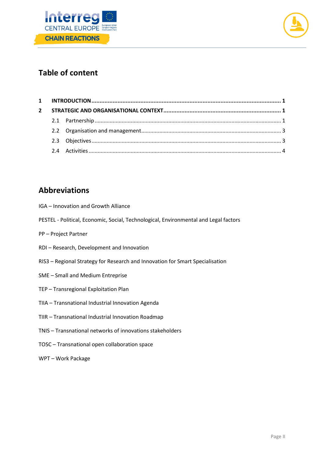



# **Table of content**

# **Abbreviations**

- IGA Innovation and Growth Alliance
- PESTEL Political, Economic, Social, Technological, Environmental and Legal factors
- PP Project Partner
- RDI Research, Development and Innovation
- RIS3 Regional Strategy for Research and Innovation for Smart Specialisation
- SME Small and Medium Entreprise
- TEP Transregional Exploitation Plan
- TIIA Transnational Industrial Innovation Agenda
- TIIR Transnational Industrial Innovation Roadmap
- TNIS Transnational networks of innovations stakeholders
- TOSC Transnational open collaboration space
- WPT Work Package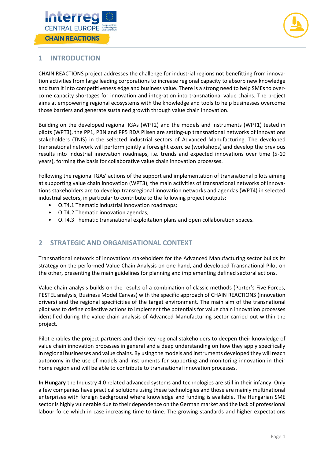



## <span id="page-3-0"></span>**1 INTRODUCTION**

CHAIN REACTIONS project addresses the challenge for industrial regions not benefitting from innovation activities from large leading corporations to increase regional capacity to absorb new knowledge and turn it into competitiveness edge and business value. There is a strong need to help SMEs to overcome capacity shortages for innovation and integration into transnational value chains. The project aims at empowering regional ecosystems with the knowledge and tools to help businesses overcome those barriers and generate sustained growth through value chain innovation.

Building on the developed regional IGAs (WPT2) and the models and instruments (WPT1) tested in pilots (WPT3), the PP1, PBN and PP5 RDA Pilsen are setting-up transnational networks of innovations stakeholders (TNIS) in the selected industrial sectors of Advanced Manufacturing. The developed transnational network will perform jointly a foresight exercise (workshops) and develop the previous results into industrial innovation roadmaps, i.e. trends and expected innovations over time (5-10 years), forming the basis for collaborative value chain innovation processes.

Following the regional IGAs' actions of the support and implementation of transnational pilots aiming at supporting value chain innovation (WPT3), the main activities of transnational networks of innovations stakeholders are to develop transregional innovation networks and agendas (WPT4) in selected industrial sectors, in particular to contribute to the following project outputs:

- O.T4.1 Thematic industrial innovation roadmaps;
- O.T4.2 Thematic innovation agendas;
- O.T4.3 Thematic transnational exploitation plans and open collaboration spaces.

## <span id="page-3-1"></span>**2 STRATEGIC AND ORGANISATIONAL CONTEXT**

Transnational network of innovations stakeholders for the Advanced Manufacturing sector builds its strategy on the performed Value Chain Analysis on one hand, and developed Transnational Pilot on the other, presenting the main guidelines for planning and implementing defined sectoral actions.

Value chain analysis builds on the results of a combination of classic methods (Porter's Five Forces, PESTEL analysis, Business Model Canvas) with the specific approach of CHAIN REACTIONS (innovation drivers) and the regional specificities of the target environment. The main aim of the transnational pilot was to define collective actions to implement the potentials for value chain innovation processes identified during the value chain analysis of Advanced Manufacturing sector carried out within the project.

Pilot enables the project partners and their key regional stakeholders to deepen their knowledge of value chain innovation processes in general and a deep understanding on how they apply specifically in regional businesses and value chains. By using the models and instruments developed they will reach autonomy in the use of models and instruments for supporting and monitoring innovation in their home region and will be able to contribute to transnational innovation processes.

<span id="page-3-2"></span>**In Hungary** the Industry 4.0 related advanced systems and technologies are still in their infancy. Only a few companies have practical solutions using these technologies and those are mainly multinational enterprises with foreign background where knowledge and funding is available. The Hungarian SME sector is highly vulnerable due to their dependence on the German market and the lack of professional labour force which in case increasing time to time. The growing standards and higher expectations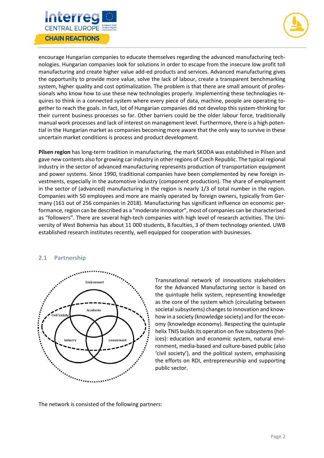



encourage Hungarian companies to educate themselves regarding the advanced manufacturing technologies. Hungarian companies look for solutions in order to escape from the insecure low profit toll manufacturing and create higher value add-ed products and services. Advanced manufacturing gives the opportunity to provide more value, solve the lack of labour, create a transparent benchmarking system, higher quality and cost optimalization. The problem is that there are small amount of professionals who know how to use these new technologies properly. Implementing these technologies requires to think in a connected system where every piece of data, machine, people are operating together to reach the goals. In fact, lot of Hungarian companies did not develop this system-thinking for their current business processes so far. Other barriers could be the older labour force, traditionally manual work processes and lack of interest on management level. Furthermore, there is a high potential in the Hungarian market as companies becoming more aware that the only way to survive in these uncertain market conditions is process and product development.

**Pilsen region** has long-term tradition in manufacturing, the mark SKODA was established in Pilsen and gave new contents also for growing car industry in other regions of Czech Republic. The typical regional industry in the sector of advanced manufacturing represents production of transportation equipment and power systems. Since 1990, traditional companies have been complemented by new foreign investments, especially in the automotive industry (component production). The share of employment in the sector of (advanced) manufacturing in the region is nearly 1/3 of total number in the region. Companies with 50 employees and more are mainly operated by foreign owners, typically from Germany (161 out of 256 companies in 2018). Manufacturing has significant influence on economic performance, region can be described as a "moderate innovator", most of companies can be characterised as "followers". There are several high-tech companies with high level of research activities. The University of West Bohemia has about 11 000 students, 8 faculties, 3 of them technology oriented. UWB established research institutes recently, well equipped for cooperation with businesses.

#### **2.1 Partnership**



Transnational network of innovations stakeholders for the Advanced Manufacturing sector is based on the quintuple helix system, representing knowledge as the core of the system which (circulating between societal subsystems) changes to innovation and knowhow in a society (knowledge society) and for the economy (knowledge economy). Respecting the quintuple helix TNIS builds its operation on five subsystems (helices): education and economic system, natural environment, media-based and culture-based public (also 'civil society'), and the political system, emphasising the efforts on RDI, entrepreneurship and supporting public sector.

The network is consisted of the following partners: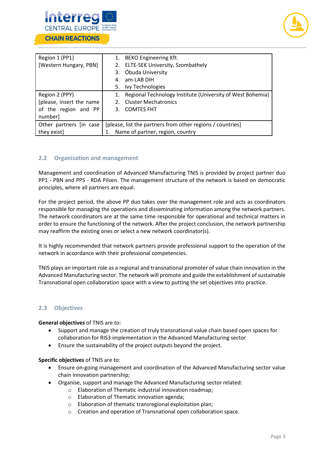



| Region 1 (PP1)           |                                                            | 1. BEKO Engineering Kft.                                   |
|--------------------------|------------------------------------------------------------|------------------------------------------------------------|
| [Western Hungary, PBN]   |                                                            | 2. ELTE-SEK University, Szombathely                        |
|                          | 3.                                                         | Óbuda University                                           |
|                          | 4.                                                         | am-LAB DIH                                                 |
|                          | 5.                                                         | Ivy Technologies                                           |
| Region 2 (PPY)           | 1.                                                         | Regional Technology Institute (University of West Bohemia) |
| [please, insert the name | 2.                                                         | <b>Cluster Mechatronics</b>                                |
| of the region and PP     | 3.                                                         | <b>COMTES FHT</b>                                          |
| number]                  |                                                            |                                                            |
| Other partners [in case  | [please, list the partners from other regions / countries] |                                                            |
| they exist]              | Name of partner, region, country                           |                                                            |

### <span id="page-5-0"></span>**2.2 Organisation and management**

Management and coordination of Advanced Manufacturing TNIS is provided by project partner duo PP1 - PBN and PP5 - RDA Pilsen. The management structure of the network is based on democratic principles, where all partners are equal.

For the project period, the above PP duo takes over the management role and acts as coordinators responsible for managing the operations and disseminating information among the network partners. The network coordinators are at the same time responsible for operational and technical matters in order to ensure the functioning of the network. After the project conclusion, the network partnership may reaffirm the existing ones or select a new network coordinator(s).

It is highly recommended that network partners provide professional support to the operation of the network in accordance with their professional competencies.

TNIS plays an important role as a regional and transnational promoter of value chain innovation in the Advanced Manufacturing sector. The network will promote and guide the establishment of sustainable Transnational open collaboration space with a view to putting the set objectives into practice.

#### <span id="page-5-1"></span>**2.3 Objectives**

**General objectives** of TNIS are to:

- Support and manage the creation of truly transnational value chain based open spaces for collaboration for RIS3 implementation in the Advanced Manufacturing sector
- Ensure the sustainability of the project outputs beyond the project.

**Specific objectives** of TNIS are to:

- Ensure on-going management and coordination of the Advanced Manufacturing sector value chain innovation partnership;
- Organise, support and manage the Advanced Manufacturing sector related:
	- o Elaboration of Thematic industrial innovation roadmap;
		- o Elaboration of Thematic innovation agenda;
		- o Elaboration of thematic transregional exploitation plan;
		- o Creation and operation of Transnational open collaboration space.